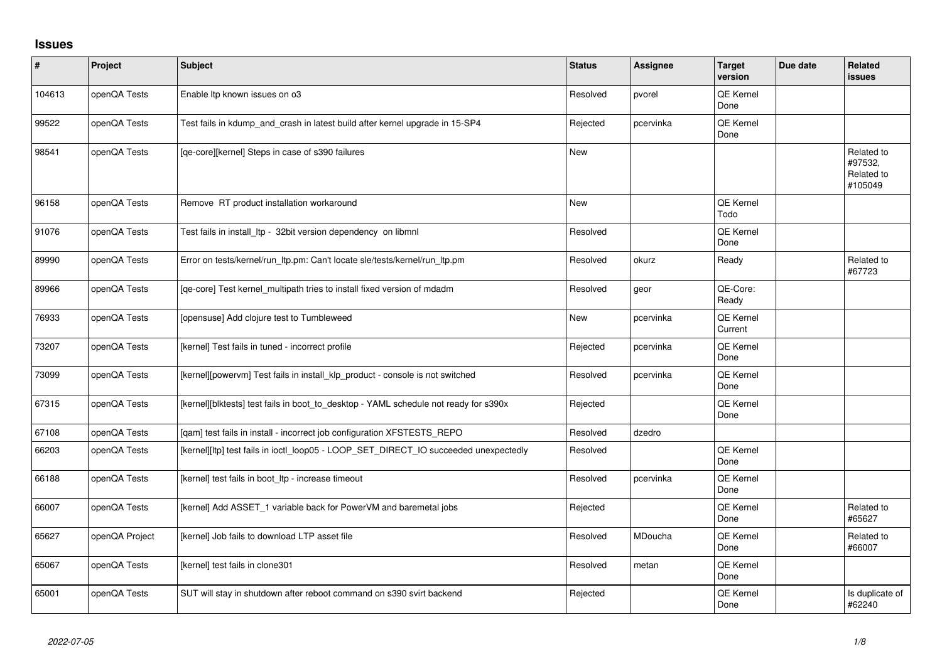## **Issues**

| $\sharp$ | Project        | <b>Subject</b>                                                                       | <b>Status</b> | <b>Assignee</b> | <b>Target</b><br>version    | Due date | <b>Related</b><br><b>issues</b>                |
|----------|----------------|--------------------------------------------------------------------------------------|---------------|-----------------|-----------------------------|----------|------------------------------------------------|
| 104613   | openQA Tests   | Enable Itp known issues on o3                                                        | Resolved      | pvorel          | QE Kernel<br>Done           |          |                                                |
| 99522    | openQA Tests   | Test fails in kdump_and_crash in latest build after kernel upgrade in 15-SP4         | Rejected      | pcervinka       | QE Kernel<br>Done           |          |                                                |
| 98541    | openQA Tests   | [qe-core][kernel] Steps in case of s390 failures                                     | <b>New</b>    |                 |                             |          | Related to<br>#97532,<br>Related to<br>#105049 |
| 96158    | openQA Tests   | Remove RT product installation workaround                                            | <b>New</b>    |                 | QE Kernel<br>Todo           |          |                                                |
| 91076    | openQA Tests   | Test fails in install_ltp - 32bit version dependency on libmnl                       | Resolved      |                 | <b>QE Kernel</b><br>Done    |          |                                                |
| 89990    | openQA Tests   | Error on tests/kernel/run_ltp.pm: Can't locate sle/tests/kernel/run_ltp.pm           | Resolved      | okurz           | Ready                       |          | Related to<br>#67723                           |
| 89966    | openQA Tests   | [qe-core] Test kernel_multipath tries to install fixed version of mdadm              | Resolved      | geor            | QE-Core:<br>Ready           |          |                                                |
| 76933    | openQA Tests   | [opensuse] Add clojure test to Tumbleweed                                            | <b>New</b>    | pcervinka       | <b>QE Kernel</b><br>Current |          |                                                |
| 73207    | openQA Tests   | [kernel] Test fails in tuned - incorrect profile                                     | Rejected      | pcervinka       | QE Kernel<br>Done           |          |                                                |
| 73099    | openQA Tests   | [kernel][powervm] Test fails in install_klp_product - console is not switched        | Resolved      | pcervinka       | QE Kernel<br>Done           |          |                                                |
| 67315    | openQA Tests   | [kernel][blktests] test fails in boot_to_desktop - YAML schedule not ready for s390x | Rejected      |                 | QE Kernel<br>Done           |          |                                                |
| 67108    | openQA Tests   | [qam] test fails in install - incorrect job configuration XFSTESTS_REPO              | Resolved      | dzedro          |                             |          |                                                |
| 66203    | openQA Tests   | [kernel][ltp] test fails in ioctl_loop05 - LOOP_SET_DIRECT_IO succeeded unexpectedly | Resolved      |                 | QE Kernel<br>Done           |          |                                                |
| 66188    | openQA Tests   | [kernel] test fails in boot_ltp - increase timeout                                   | Resolved      | pcervinka       | QE Kernel<br>Done           |          |                                                |
| 66007    | openQA Tests   | [kernel] Add ASSET_1 variable back for PowerVM and baremetal jobs                    | Rejected      |                 | QE Kernel<br>Done           |          | Related to<br>#65627                           |
| 65627    | openQA Project | [kernel] Job fails to download LTP asset file                                        | Resolved      | MDoucha         | QE Kernel<br>Done           |          | Related to<br>#66007                           |
| 65067    | openQA Tests   | [kernel] test fails in clone301                                                      | Resolved      | metan           | QE Kernel<br>Done           |          |                                                |
| 65001    | openQA Tests   | SUT will stay in shutdown after reboot command on s390 svirt backend                 | Rejected      |                 | <b>QE Kernel</b><br>Done    |          | Is duplicate of<br>#62240                      |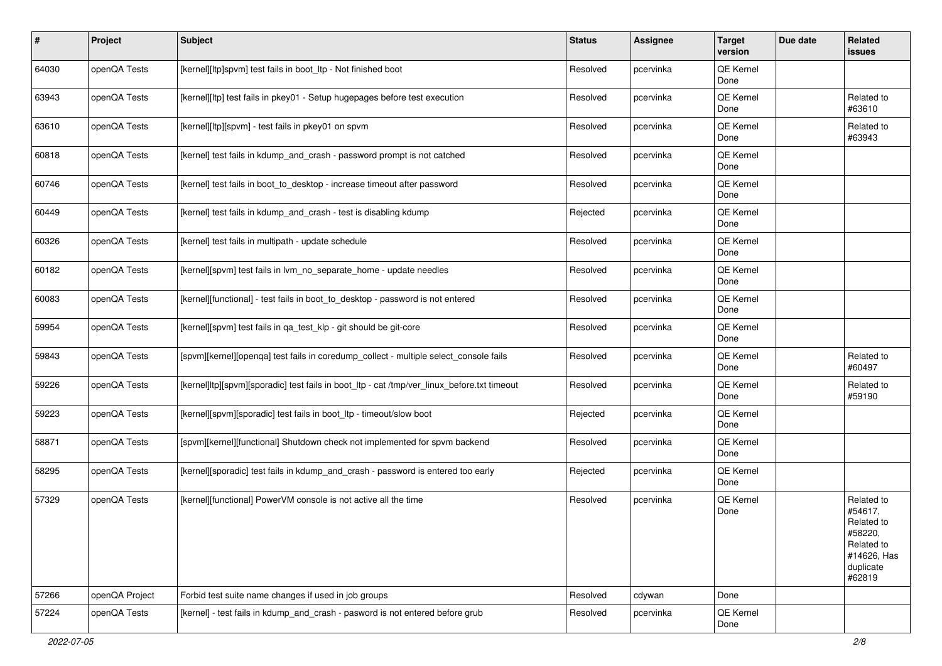| #     | Project        | <b>Subject</b>                                                                              | <b>Status</b> | Assignee  | <b>Target</b><br>version | Due date | Related<br>issues                                                                                  |
|-------|----------------|---------------------------------------------------------------------------------------------|---------------|-----------|--------------------------|----------|----------------------------------------------------------------------------------------------------|
| 64030 | openQA Tests   | [kernel][ltp]spvm] test fails in boot_ltp - Not finished boot                               | Resolved      | pcervinka | QE Kernel<br>Done        |          |                                                                                                    |
| 63943 | openQA Tests   | [kernel][ltp] test fails in pkey01 - Setup hugepages before test execution                  | Resolved      | pcervinka | QE Kernel<br>Done        |          | Related to<br>#63610                                                                               |
| 63610 | openQA Tests   | [kernel][ltp][spvm] - test fails in pkey01 on spvm                                          | Resolved      | pcervinka | QE Kernel<br>Done        |          | Related to<br>#63943                                                                               |
| 60818 | openQA Tests   | [kernel] test fails in kdump_and_crash - password prompt is not catched                     | Resolved      | pcervinka | QE Kernel<br>Done        |          |                                                                                                    |
| 60746 | openQA Tests   | [kernel] test fails in boot to desktop - increase timeout after password                    | Resolved      | pcervinka | QE Kernel<br>Done        |          |                                                                                                    |
| 60449 | openQA Tests   | [kernel] test fails in kdump_and_crash - test is disabling kdump                            | Rejected      | pcervinka | QE Kernel<br>Done        |          |                                                                                                    |
| 60326 | openQA Tests   | [kernel] test fails in multipath - update schedule                                          | Resolved      | pcervinka | QE Kernel<br>Done        |          |                                                                                                    |
| 60182 | openQA Tests   | [kernel][spvm] test fails in lvm_no_separate_home - update needles                          | Resolved      | pcervinka | QE Kernel<br>Done        |          |                                                                                                    |
| 60083 | openQA Tests   | [kernel][functional] - test fails in boot_to_desktop - password is not entered              | Resolved      | pcervinka | QE Kernel<br>Done        |          |                                                                                                    |
| 59954 | openQA Tests   | [kernel][spvm] test fails in qa_test_klp - git should be git-core                           | Resolved      | pcervinka | QE Kernel<br>Done        |          |                                                                                                    |
| 59843 | openQA Tests   | [spvm][kernel][openqa] test fails in coredump_collect - multiple select_console fails       | Resolved      | pcervinka | QE Kernel<br>Done        |          | Related to<br>#60497                                                                               |
| 59226 | openQA Tests   | [kernel]ltp][spvm][sporadic] test fails in boot_ltp - cat /tmp/ver_linux_before.txt timeout | Resolved      | pcervinka | QE Kernel<br>Done        |          | Related to<br>#59190                                                                               |
| 59223 | openQA Tests   | [kernel][spvm][sporadic] test fails in boot_ltp - timeout/slow boot                         | Rejected      | pcervinka | QE Kernel<br>Done        |          |                                                                                                    |
| 58871 | openQA Tests   | [spvm][kernel][functional] Shutdown check not implemented for spvm backend                  | Resolved      | pcervinka | QE Kernel<br>Done        |          |                                                                                                    |
| 58295 | openQA Tests   | [kernel][sporadic] test fails in kdump_and_crash - password is entered too early            | Rejected      | pcervinka | QE Kernel<br>Done        |          |                                                                                                    |
| 57329 | openQA Tests   | [kernel][functional] PowerVM console is not active all the time                             | Resolved      | pcervinka | QE Kernel<br>Done        |          | Related to<br>#54617.<br>Related to<br>#58220,<br>Related to<br>#14626, Has<br>duplicate<br>#62819 |
| 57266 | openQA Project | Forbid test suite name changes if used in job groups                                        | Resolved      | cdywan    | Done                     |          |                                                                                                    |
| 57224 | openQA Tests   | [kernel] - test fails in kdump_and_crash - pasword is not entered before grub               | Resolved      | pcervinka | QE Kernel<br>Done        |          |                                                                                                    |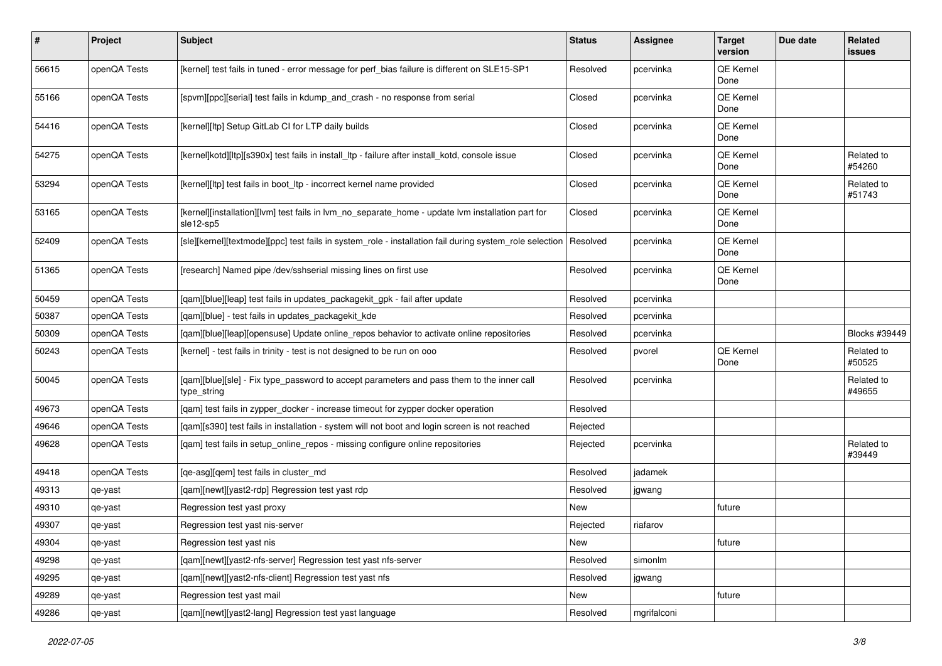| #     | Project      | <b>Subject</b>                                                                                                 | <b>Status</b> | <b>Assignee</b> | <b>Target</b><br>version | Due date | Related<br>issues    |
|-------|--------------|----------------------------------------------------------------------------------------------------------------|---------------|-----------------|--------------------------|----------|----------------------|
| 56615 | openQA Tests | [kernel] test fails in tuned - error message for perf_bias failure is different on SLE15-SP1                   | Resolved      | pcervinka       | QE Kernel<br>Done        |          |                      |
| 55166 | openQA Tests | [spvm][ppc][serial] test fails in kdump_and_crash - no response from serial                                    | Closed        | pcervinka       | QE Kernel<br>Done        |          |                      |
| 54416 | openQA Tests | [kernel][ltp] Setup GitLab CI for LTP daily builds                                                             | Closed        | pcervinka       | QE Kernel<br>Done        |          |                      |
| 54275 | openQA Tests | [kernel]kotd][ltp][s390x] test fails in install_ltp - failure after install_kotd, console issue                | Closed        | pcervinka       | QE Kernel<br>Done        |          | Related to<br>#54260 |
| 53294 | openQA Tests | [kernel][ltp] test fails in boot_ltp - incorrect kernel name provided                                          | Closed        | pcervinka       | QE Kernel<br>Done        |          | Related to<br>#51743 |
| 53165 | openQA Tests | [kernel][installation][lvm] test fails in lvm_no_separate_home - update lvm installation part for<br>sle12-sp5 | Closed        | pcervinka       | QE Kernel<br>Done        |          |                      |
| 52409 | openQA Tests | [sle][kernel][textmode][ppc] test fails in system_role - installation fail during system_role selection        | Resolved      | pcervinka       | QE Kernel<br>Done        |          |                      |
| 51365 | openQA Tests | [research] Named pipe /dev/sshserial missing lines on first use                                                | Resolved      | pcervinka       | QE Kernel<br>Done        |          |                      |
| 50459 | openQA Tests | [qam][blue][leap] test fails in updates_packagekit_gpk - fail after update                                     | Resolved      | pcervinka       |                          |          |                      |
| 50387 | openQA Tests | [gam][blue] - test fails in updates packagekit kde                                                             | Resolved      | pcervinka       |                          |          |                      |
| 50309 | openQA Tests | [qam][blue][leap][opensuse] Update online_repos behavior to activate online repositories                       | Resolved      | pcervinka       |                          |          | Blocks #39449        |
| 50243 | openQA Tests | [kernel] - test fails in trinity - test is not designed to be run on ooo                                       | Resolved      | pvorel          | QE Kernel<br>Done        |          | Related to<br>#50525 |
| 50045 | openQA Tests | [qam][blue][sle] - Fix type_password to accept parameters and pass them to the inner call<br>type_string       | Resolved      | pcervinka       |                          |          | Related to<br>#49655 |
| 49673 | openQA Tests | [qam] test fails in zypper_docker - increase timeout for zypper docker operation                               | Resolved      |                 |                          |          |                      |
| 49646 | openQA Tests | [qam][s390] test fails in installation - system will not boot and login screen is not reached                  | Rejected      |                 |                          |          |                      |
| 49628 | openQA Tests | [qam] test fails in setup_online_repos - missing configure online repositories                                 | Rejected      | pcervinka       |                          |          | Related to<br>#39449 |
| 49418 | openQA Tests | [qe-asg][qem] test fails in cluster_md                                                                         | Resolved      | jadamek         |                          |          |                      |
| 49313 | qe-yast      | [qam][newt][yast2-rdp] Regression test yast rdp                                                                | Resolved      | jgwang          |                          |          |                      |
| 49310 | qe-yast      | Regression test yast proxy                                                                                     | New           |                 | future                   |          |                      |
| 49307 | qe-yast      | Regression test yast nis-server                                                                                | Rejected      | riafarov        |                          |          |                      |
| 49304 | qe-yast      | Regression test yast nis                                                                                       | New           |                 | future                   |          |                      |
| 49298 | qe-yast      | [qam][newt][yast2-nfs-server] Regression test yast nfs-server                                                  | Resolved      | simonlm         |                          |          |                      |
| 49295 | qe-yast      | [gam][newt][yast2-nfs-client] Regression test yast nfs                                                         | Resolved      | jgwang          |                          |          |                      |
| 49289 | qe-yast      | Regression test yast mail                                                                                      | New           |                 | future                   |          |                      |
| 49286 | qe-yast      | [qam][newt][yast2-lang] Regression test yast language                                                          | Resolved      | mgrifalconi     |                          |          |                      |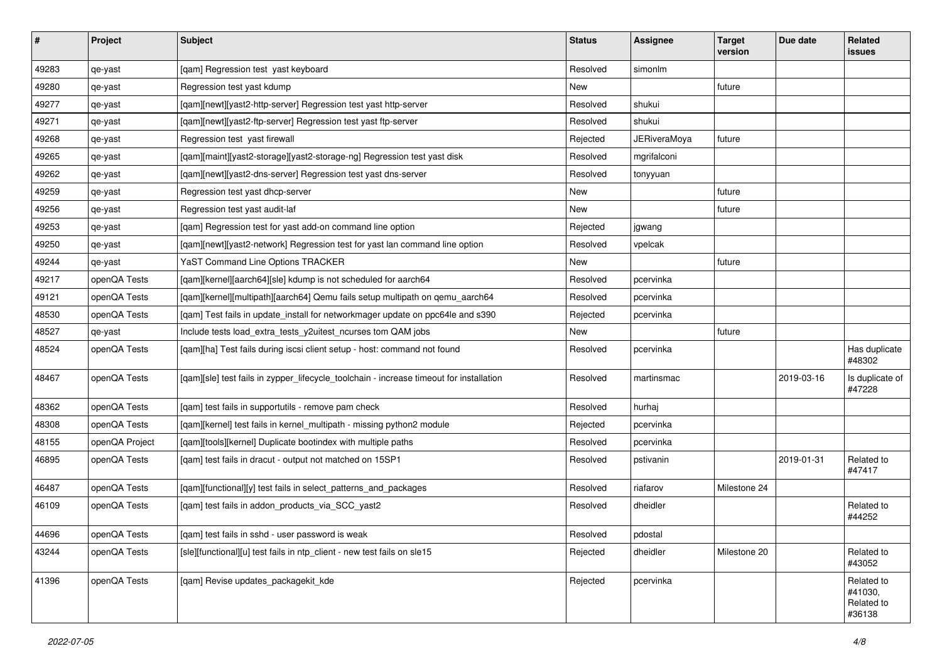| $\vert$ # | Project        | <b>Subject</b>                                                                          | <b>Status</b> | <b>Assignee</b>     | <b>Target</b><br>version | Due date   | <b>Related</b><br><b>issues</b>               |
|-----------|----------------|-----------------------------------------------------------------------------------------|---------------|---------------------|--------------------------|------------|-----------------------------------------------|
| 49283     | qe-yast        | [qam] Regression test yast keyboard                                                     | Resolved      | simonlm             |                          |            |                                               |
| 49280     | qe-yast        | Regression test yast kdump                                                              | New           |                     | future                   |            |                                               |
| 49277     | qe-yast        | [qam][newt][yast2-http-server] Regression test yast http-server                         | Resolved      | shukui              |                          |            |                                               |
| 49271     | qe-yast        | [qam][newt][yast2-ftp-server] Regression test yast ftp-server                           | Resolved      | shukui              |                          |            |                                               |
| 49268     | qe-yast        | Regression test yast firewall                                                           | Rejected      | <b>JERiveraMoya</b> | future                   |            |                                               |
| 49265     | qe-yast        | [qam][maint][yast2-storage][yast2-storage-ng] Regression test yast disk                 | Resolved      | mgrifalconi         |                          |            |                                               |
| 49262     | qe-yast        | [qam][newt][yast2-dns-server] Regression test yast dns-server                           | Resolved      | tonyyuan            |                          |            |                                               |
| 49259     | qe-yast        | Regression test yast dhcp-server                                                        | New           |                     | future                   |            |                                               |
| 49256     | qe-yast        | Regression test yast audit-laf                                                          | New           |                     | future                   |            |                                               |
| 49253     | qe-yast        | [qam] Regression test for yast add-on command line option                               | Rejected      | jgwang              |                          |            |                                               |
| 49250     | qe-yast        | [qam][newt][yast2-network] Regression test for yast lan command line option             | Resolved      | vpelcak             |                          |            |                                               |
| 49244     | qe-yast        | YaST Command Line Options TRACKER                                                       | New           |                     | future                   |            |                                               |
| 49217     | openQA Tests   | [qam][kernel][aarch64][sle] kdump is not scheduled for aarch64                          | Resolved      | pcervinka           |                          |            |                                               |
| 49121     | openQA Tests   | [qam][kernel][multipath][aarch64] Qemu fails setup multipath on qemu_aarch64            | Resolved      | pcervinka           |                          |            |                                               |
| 48530     | openQA Tests   | [qam] Test fails in update_install for networkmager update on ppc64le and s390          | Rejected      | pcervinka           |                          |            |                                               |
| 48527     | qe-yast        | Include tests load_extra_tests_y2uitest_ncurses tom QAM jobs                            | New           |                     | future                   |            |                                               |
| 48524     | openQA Tests   | [qam][ha] Test fails during iscsi client setup - host: command not found                | Resolved      | pcervinka           |                          |            | Has duplicate<br>#48302                       |
| 48467     | openQA Tests   | [qam][sle] test fails in zypper_lifecycle_toolchain - increase timeout for installation | Resolved      | martinsmac          |                          | 2019-03-16 | Is duplicate of<br>#47228                     |
| 48362     | openQA Tests   | [qam] test fails in supportutils - remove pam check                                     | Resolved      | hurhaj              |                          |            |                                               |
| 48308     | openQA Tests   | [qam][kernel] test fails in kernel_multipath - missing python2 module                   | Rejected      | pcervinka           |                          |            |                                               |
| 48155     | openQA Project | [qam][tools][kernel] Duplicate bootindex with multiple paths                            | Resolved      | pcervinka           |                          |            |                                               |
| 46895     | openQA Tests   | [qam] test fails in dracut - output not matched on 15SP1                                | Resolved      | pstivanin           |                          | 2019-01-31 | Related to<br>#47417                          |
| 46487     | openQA Tests   | [qam][functional][y] test fails in select_patterns_and_packages                         | Resolved      | riafarov            | Milestone 24             |            |                                               |
| 46109     | openQA Tests   | [qam] test fails in addon_products_via_SCC_yast2                                        | Resolved      | dheidler            |                          |            | Related to<br>#44252                          |
| 44696     | openQA Tests   | [qam] test fails in sshd - user password is weak                                        | Resolved      | pdostal             |                          |            |                                               |
| 43244     | openQA Tests   | [sle][functional][u] test fails in ntp_client - new test fails on sle15                 | Rejected      | dheidler            | Milestone 20             |            | Related to<br>#43052                          |
| 41396     | openQA Tests   | [qam] Revise updates_packagekit_kde                                                     | Rejected      | pcervinka           |                          |            | Related to<br>#41030,<br>Related to<br>#36138 |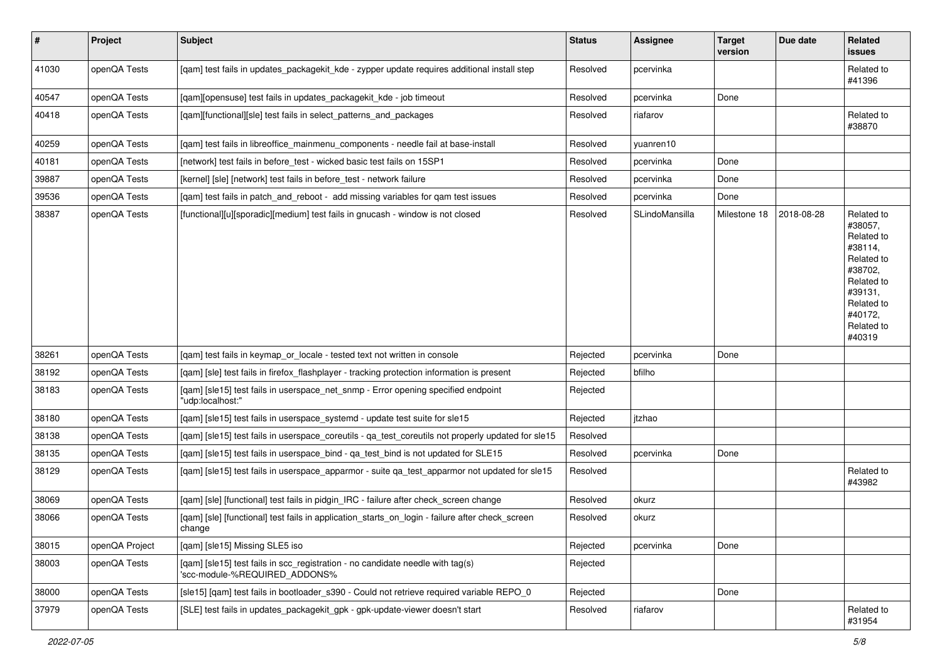| $\vert$ # | Project        | <b>Subject</b>                                                                                                  | <b>Status</b> | <b>Assignee</b> | <b>Target</b><br>version | Due date   | Related<br>issues                                                                                                                                 |
|-----------|----------------|-----------------------------------------------------------------------------------------------------------------|---------------|-----------------|--------------------------|------------|---------------------------------------------------------------------------------------------------------------------------------------------------|
| 41030     | openQA Tests   | [qam] test fails in updates_packagekit_kde - zypper update requires additional install step                     | Resolved      | pcervinka       |                          |            | Related to<br>#41396                                                                                                                              |
| 40547     | openQA Tests   | [qam][opensuse] test fails in updates_packagekit_kde - job timeout                                              | Resolved      | pcervinka       | Done                     |            |                                                                                                                                                   |
| 40418     | openQA Tests   | [qam][functional][sle] test fails in select_patterns_and_packages                                               | Resolved      | riafarov        |                          |            | Related to<br>#38870                                                                                                                              |
| 40259     | openQA Tests   | [qam] test fails in libreoffice_mainmenu_components - needle fail at base-install                               | Resolved      | yuanren10       |                          |            |                                                                                                                                                   |
| 40181     | openQA Tests   | [network] test fails in before_test - wicked basic test fails on 15SP1                                          | Resolved      | pcervinka       | Done                     |            |                                                                                                                                                   |
| 39887     | openQA Tests   | [kernel] [sle] [network] test fails in before_test - network failure                                            | Resolved      | pcervinka       | Done                     |            |                                                                                                                                                   |
| 39536     | openQA Tests   | [qam] test fails in patch_and_reboot - add missing variables for qam test issues                                | Resolved      | pcervinka       | Done                     |            |                                                                                                                                                   |
| 38387     | openQA Tests   | [functional][u][sporadic][medium] test fails in gnucash - window is not closed                                  | Resolved      | SLindoMansilla  | Milestone 18             | 2018-08-28 | Related to<br>#38057,<br>Related to<br>#38114.<br>Related to<br>#38702,<br>Related to<br>#39131,<br>Related to<br>#40172.<br>Related to<br>#40319 |
| 38261     | openQA Tests   | [gam] test fails in keymap or locale - tested text not written in console                                       | Rejected      | pcervinka       | Done                     |            |                                                                                                                                                   |
| 38192     | openQA Tests   | [gam] [sle] test fails in firefox flashplayer - tracking protection information is present                      | Rejected      | bfilho          |                          |            |                                                                                                                                                   |
| 38183     | openQA Tests   | [qam] [sle15] test fails in userspace_net_snmp - Error opening specified endpoint<br>"udp:localhost:"           | Rejected      |                 |                          |            |                                                                                                                                                   |
| 38180     | openQA Tests   | [qam] [sle15] test fails in userspace_systemd - update test suite for sle15                                     | Rejected      | itzhao          |                          |            |                                                                                                                                                   |
| 38138     | openQA Tests   | [qam] [sle15] test fails in userspace_coreutils - qa_test_coreutils not properly updated for sle15              | Resolved      |                 |                          |            |                                                                                                                                                   |
| 38135     | openQA Tests   | [qam] [sle15] test fails in userspace_bind - qa_test_bind is not updated for SLE15                              | Resolved      | pcervinka       | Done                     |            |                                                                                                                                                   |
| 38129     | openQA Tests   | [qam] [sle15] test fails in userspace_apparmor - suite qa_test_apparmor not updated for sle15                   | Resolved      |                 |                          |            | Related to<br>#43982                                                                                                                              |
| 38069     | openQA Tests   | [qam] [sle] [functional] test fails in pidgin_IRC - failure after check_screen change                           | Resolved      | okurz           |                          |            |                                                                                                                                                   |
| 38066     | openQA Tests   | [qam] [sle] [functional] test fails in application_starts_on_login - failure after check_screen<br>change       | Resolved      | okurz           |                          |            |                                                                                                                                                   |
| 38015     | openQA Project | [qam] [sle15] Missing SLE5 iso                                                                                  | Rejected      | pcervinka       | Done                     |            |                                                                                                                                                   |
| 38003     | openQA Tests   | [qam] [sle15] test fails in scc_registration - no candidate needle with tag(s)<br>'scc-module-%REQUIRED_ADDONS% | Rejected      |                 |                          |            |                                                                                                                                                   |
| 38000     | openQA Tests   | [sle15] [qam] test fails in bootloader s390 - Could not retrieve required variable REPO 0                       | Rejected      |                 | Done                     |            |                                                                                                                                                   |
| 37979     | openQA Tests   | [SLE] test fails in updates_packagekit_gpk - gpk-update-viewer doesn't start                                    | Resolved      | riafarov        |                          |            | Related to<br>#31954                                                                                                                              |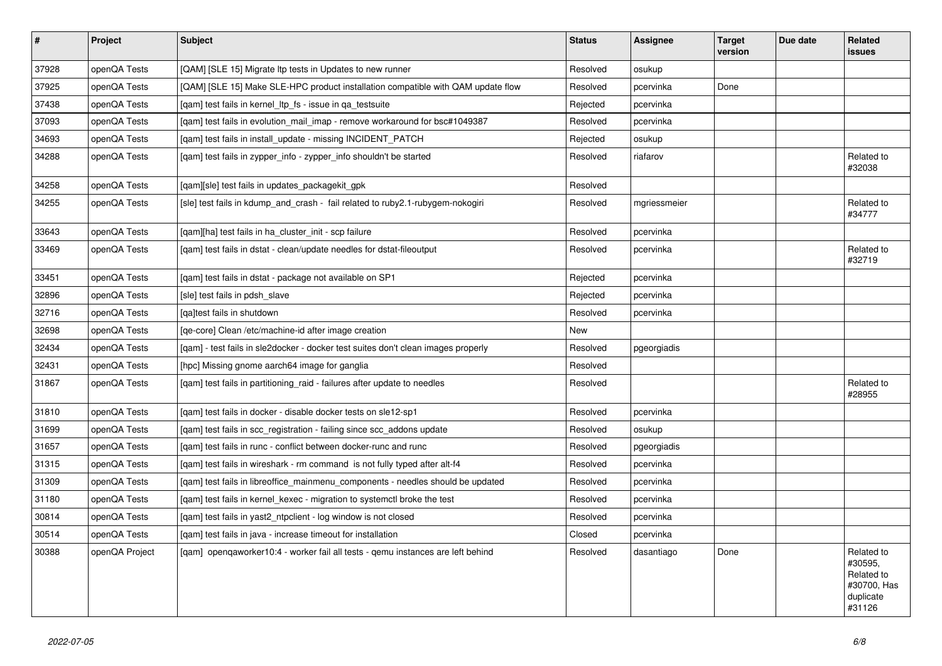| $\vert$ # | <b>Project</b> | <b>Subject</b>                                                                    | <b>Status</b> | <b>Assignee</b> | <b>Target</b><br>version | Due date | Related<br>issues                                                         |
|-----------|----------------|-----------------------------------------------------------------------------------|---------------|-----------------|--------------------------|----------|---------------------------------------------------------------------------|
| 37928     | openQA Tests   | [QAM] [SLE 15] Migrate Itp tests in Updates to new runner                         | Resolved      | osukup          |                          |          |                                                                           |
| 37925     | openQA Tests   | [QAM] [SLE 15] Make SLE-HPC product installation compatible with QAM update flow  | Resolved      | pcervinka       | Done                     |          |                                                                           |
| 37438     | openQA Tests   | [gam] test fails in kernel_ltp_fs - issue in ga_testsuite                         | Rejected      | pcervinka       |                          |          |                                                                           |
| 37093     | openQA Tests   | [gam] test fails in evolution mail imap - remove workaround for bsc#1049387       | Resolved      | pcervinka       |                          |          |                                                                           |
| 34693     | openQA Tests   | [gam] test fails in install update - missing INCIDENT PATCH                       | Rejected      | osukup          |                          |          |                                                                           |
| 34288     | openQA Tests   | [gam] test fails in zypper info - zypper info shouldn't be started                | Resolved      | riafarov        |                          |          | Related to<br>#32038                                                      |
| 34258     | openQA Tests   | [qam][sle] test fails in updates_packagekit_gpk                                   | Resolved      |                 |                          |          |                                                                           |
| 34255     | openQA Tests   | [sle] test fails in kdump_and_crash - fail related to ruby2.1-rubygem-nokogiri    | Resolved      | mgriessmeier    |                          |          | Related to<br>#34777                                                      |
| 33643     | openQA Tests   | [gam][ha] test fails in ha cluster init - scp failure                             | Resolved      | pcervinka       |                          |          |                                                                           |
| 33469     | openQA Tests   | [gam] test fails in dstat - clean/update needles for dstat-fileoutput             | Resolved      | pcervinka       |                          |          | Related to<br>#32719                                                      |
| 33451     | openQA Tests   | [qam] test fails in dstat - package not available on SP1                          | Rejected      | pcervinka       |                          |          |                                                                           |
| 32896     | openQA Tests   | [sle] test fails in pdsh slave                                                    | Rejected      | pcervinka       |                          |          |                                                                           |
| 32716     | openQA Tests   | [ga]test fails in shutdown                                                        | Resolved      | pcervinka       |                          |          |                                                                           |
| 32698     | openQA Tests   | [ge-core] Clean /etc/machine-id after image creation                              | New           |                 |                          |          |                                                                           |
| 32434     | openQA Tests   | [gam] - test fails in sle2docker - docker test suites don't clean images properly | Resolved      | pgeorgiadis     |                          |          |                                                                           |
| 32431     | openQA Tests   | [hpc] Missing gnome aarch64 image for ganglia                                     | Resolved      |                 |                          |          |                                                                           |
| 31867     | openQA Tests   | [qam] test fails in partitioning_raid - failures after update to needles          | Resolved      |                 |                          |          | Related to<br>#28955                                                      |
| 31810     | openQA Tests   | [qam] test fails in docker - disable docker tests on sle12-sp1                    | Resolved      | pcervinka       |                          |          |                                                                           |
| 31699     | openQA Tests   | [gam] test fails in scc registration - failing since scc addons update            | Resolved      | osukup          |                          |          |                                                                           |
| 31657     | openQA Tests   | [gam] test fails in runc - conflict between docker-runc and runc                  | Resolved      | pgeorgiadis     |                          |          |                                                                           |
| 31315     | openQA Tests   | [qam] test fails in wireshark - rm command is not fully typed after alt-f4        | Resolved      | pcervinka       |                          |          |                                                                           |
| 31309     | openQA Tests   | [qam] test fails in libreoffice_mainmenu_components - needles should be updated   | Resolved      | pcervinka       |                          |          |                                                                           |
| 31180     | openQA Tests   | [gam] test fails in kernel kexec - migration to systemctl broke the test          | Resolved      | pcervinka       |                          |          |                                                                           |
| 30814     | openQA Tests   | [gam] test fails in yast2 ntpclient - log window is not closed                    | Resolved      | pcervinka       |                          |          |                                                                           |
| 30514     | openQA Tests   | [gam] test fails in java - increase timeout for installation                      | Closed        | pcervinka       |                          |          |                                                                           |
| 30388     | openQA Project | [gam] opengaworker10:4 - worker fail all tests - gemu instances are left behind   | Resolved      | dasantiago      | Done                     |          | Related to<br>#30595,<br>Related to<br>#30700, Has<br>duplicate<br>#31126 |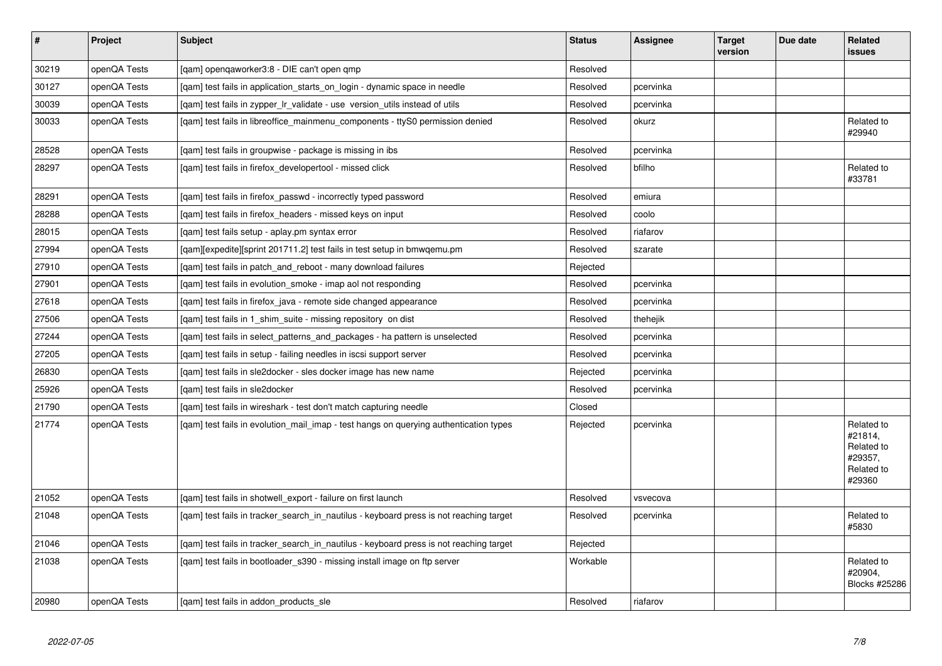| $\vert$ # | Project      | <b>Subject</b>                                                                         | <b>Status</b> | Assignee  | <b>Target</b><br>version | Due date | Related<br><b>issues</b>                                               |
|-----------|--------------|----------------------------------------------------------------------------------------|---------------|-----------|--------------------------|----------|------------------------------------------------------------------------|
| 30219     | openQA Tests | [qam] openqaworker3:8 - DIE can't open qmp                                             | Resolved      |           |                          |          |                                                                        |
| 30127     | openQA Tests | [gam] test fails in application starts on login - dynamic space in needle              | Resolved      | pcervinka |                          |          |                                                                        |
| 30039     | openQA Tests | [gam] test fails in zypper Ir validate - use version utils instead of utils            | Resolved      | pcervinka |                          |          |                                                                        |
| 30033     | openQA Tests | [gam] test fails in libreoffice mainmenu components - ttyS0 permission denied          | Resolved      | okurz     |                          |          | Related to<br>#29940                                                   |
| 28528     | openQA Tests | [gam] test fails in groupwise - package is missing in ibs                              | Resolved      | pcervinka |                          |          |                                                                        |
| 28297     | openQA Tests | [qam] test fails in firefox_developertool - missed click                               | Resolved      | bfilho    |                          |          | Related to<br>#33781                                                   |
| 28291     | openQA Tests | [qam] test fails in firefox_passwd - incorrectly typed password                        | Resolved      | emiura    |                          |          |                                                                        |
| 28288     | openQA Tests | [gam] test fails in firefox headers - missed keys on input                             | Resolved      | coolo     |                          |          |                                                                        |
| 28015     | openQA Tests | [qam] test fails setup - aplay.pm syntax error                                         | Resolved      | riafarov  |                          |          |                                                                        |
| 27994     | openQA Tests | [gam][expedite][sprint 201711.2] test fails in test setup in bmwgemu.pm                | Resolved      | szarate   |                          |          |                                                                        |
| 27910     | openQA Tests | [qam] test fails in patch_and_reboot - many download failures                          | Rejected      |           |                          |          |                                                                        |
| 27901     | openQA Tests | [qam] test fails in evolution_smoke - imap aol not responding                          | Resolved      | pcervinka |                          |          |                                                                        |
| 27618     | openQA Tests | [gam] test fails in firefox java - remote side changed appearance                      | Resolved      | pcervinka |                          |          |                                                                        |
| 27506     | openQA Tests | [qam] test fails in 1_shim_suite - missing repository on dist                          | Resolved      | thehejik  |                          |          |                                                                        |
| 27244     | openQA Tests | [gam] test fails in select patterns and packages - ha pattern is unselected            | Resolved      | pcervinka |                          |          |                                                                        |
| 27205     | openQA Tests | [qam] test fails in setup - failing needles in iscsi support server                    | Resolved      | pcervinka |                          |          |                                                                        |
| 26830     | openQA Tests | [gam] test fails in sle2docker - sles docker image has new name                        | Rejected      | pcervinka |                          |          |                                                                        |
| 25926     | openQA Tests | [qam] test fails in sle2docker                                                         | Resolved      | pcervinka |                          |          |                                                                        |
| 21790     | openQA Tests | [gam] test fails in wireshark - test don't match capturing needle                      | Closed        |           |                          |          |                                                                        |
| 21774     | openQA Tests | [qam] test fails in evolution_mail_imap - test hangs on querying authentication types  | Rejected      | pcervinka |                          |          | Related to<br>#21814,<br>Related to<br>#29357,<br>Related to<br>#29360 |
| 21052     | openQA Tests | [gam] test fails in shotwell export - failure on first launch                          | Resolved      | vsvecova  |                          |          |                                                                        |
| 21048     | openQA Tests | [qam] test fails in tracker_search_in_nautilus - keyboard press is not reaching target | Resolved      | pcervinka |                          |          | Related to<br>#5830                                                    |
| 21046     | openQA Tests | [qam] test fails in tracker_search_in_nautilus - keyboard press is not reaching target | Rejected      |           |                          |          |                                                                        |
| 21038     | openQA Tests | [gam] test fails in bootloader s390 - missing install image on ftp server              | Workable      |           |                          |          | Related to<br>#20904,<br>Blocks #25286                                 |
| 20980     | openQA Tests | [gam] test fails in addon products sle                                                 | Resolved      | riafarov  |                          |          |                                                                        |